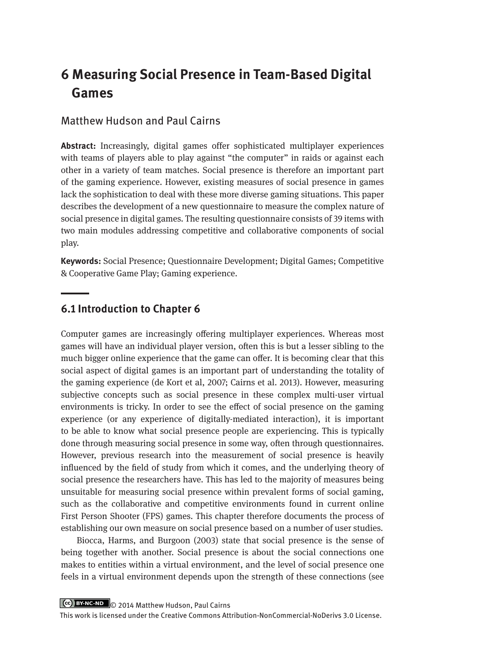# **6 Measuring Social Presence in Team-Based Digital Games**

### Matthew Hudson and Paul Cairns

**Abstract:** Increasingly, digital games offer sophisticated multiplayer experiences with teams of players able to play against "the computer" in raids or against each other in a variety of team matches. Social presence is therefore an important part of the gaming experience. However, existing measures of social presence in games lack the sophistication to deal with these more diverse gaming situations. This paper describes the development of a new questionnaire to measure the complex nature of social presence in digital games. The resulting questionnaire consists of 39 items with two main modules addressing competitive and collaborative components of social play.

**Keywords:** Social Presence; Questionnaire Development; Digital Games; Competitive & Cooperative Game Play; Gaming experience.

### **6.1 Introduction to Chapter 6**

Computer games are increasingly offering multiplayer experiences. Whereas most games will have an individual player version, often this is but a lesser sibling to the much bigger online experience that the game can offer. It is becoming clear that this social aspect of digital games is an important part of understanding the totality of the gaming experience (de Kort et al, 2007; Cairns et al. 2013). However, measuring subjective concepts such as social presence in these complex multi-user virtual environments is tricky. In order to see the effect of social presence on the gaming experience (or any experience of digitally-mediated interaction), it is important to be able to know what social presence people are experiencing. This is typically done through measuring social presence in some way, often through questionnaires. However, previous research into the measurement of social presence is heavily influenced by the field of study from which it comes, and the underlying theory of social presence the researchers have. This has led to the majority of measures being unsuitable for measuring social presence within prevalent forms of social gaming, such as the collaborative and competitive environments found in current online First Person Shooter (FPS) games. This chapter therefore documents the process of establishing our own measure on social presence based on a number of user studies.

Biocca, Harms, and Burgoon (2003) state that social presence is the sense of being together with another. Social presence is about the social connections one makes to entities within a virtual environment, and the level of social presence one feels in a virtual environment depends upon the strength of these connections (see

CC BY-NC-ND © 2014 Matthew Hudson, Paul Cairns

This work is licensed under the Creative Commons Attribution-NonCommercial-NoDerivs 3.0 License.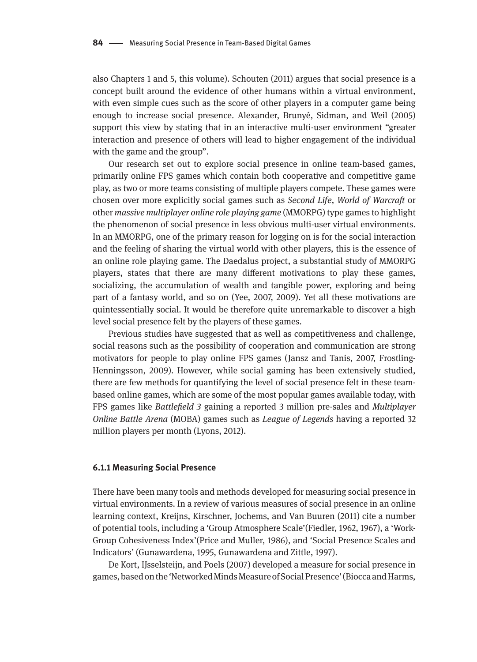also Chapters 1 and 5, this volume). Schouten (2011) argues that social presence is a concept built around the evidence of other humans within a virtual environment, with even simple cues such as the score of other players in a computer game being enough to increase social presence. Alexander, Brunyé, Sidman, and Weil (2005) support this view by stating that in an interactive multi-user environment "greater interaction and presence of others will lead to higher engagement of the individual with the game and the group".

Our research set out to explore social presence in online team-based games, primarily online FPS games which contain both cooperative and competitive game play, as two or more teams consisting of multiple players compete. These games were chosen over more explicitly social games such as *Second Life*, *World of Warcraft* or other *massive multiplayer online role playing game* (MMORPG) type games to highlight the phenomenon of social presence in less obvious multi-user virtual environments. In an MMORPG, one of the primary reason for logging on is for the social interaction and the feeling of sharing the virtual world with other players, this is the essence of an online role playing game. The Daedalus project, a substantial study of MMORPG players, states that there are many different motivations to play these games, socializing, the accumulation of wealth and tangible power, exploring and being part of a fantasy world, and so on (Yee, 2007, 2009). Yet all these motivations are quintessentially social. It would be therefore quite unremarkable to discover a high level social presence felt by the players of these games.

Previous studies have suggested that as well as competitiveness and challenge, social reasons such as the possibility of cooperation and communication are strong motivators for people to play online FPS games (Jansz and Tanis, 2007, Frostling-Henningsson, 2009). However, while social gaming has been extensively studied, there are few methods for quantifying the level of social presence felt in these teambased online games, which are some of the most popular games available today, with FPS games like *Battlefield 3* gaining a reported 3 million pre-sales and *Multiplayer Online Battle Arena* (MOBA) games such as *League of Legends* having a reported 32 million players per month (Lyons, 2012).

#### **6.1.1 Measuring Social Presence**

There have been many tools and methods developed for measuring social presence in virtual environments. In a review of various measures of social presence in an online learning context, Kreijns, Kirschner, Jochems, and Van Buuren (2011) cite a number of potential tools, including a 'Group Atmosphere Scale'(Fiedler, 1962, 1967), a 'Work-Group Cohesiveness Index'(Price and Muller, 1986), and 'Social Presence Scales and Indicators' (Gunawardena, 1995, Gunawardena and Zittle, 1997).

De Kort, IJsselsteijn, and Poels (2007) developed a measure for social presence in games, based on the 'Networked Minds Measure of Social Presence' (Biocca and Harms,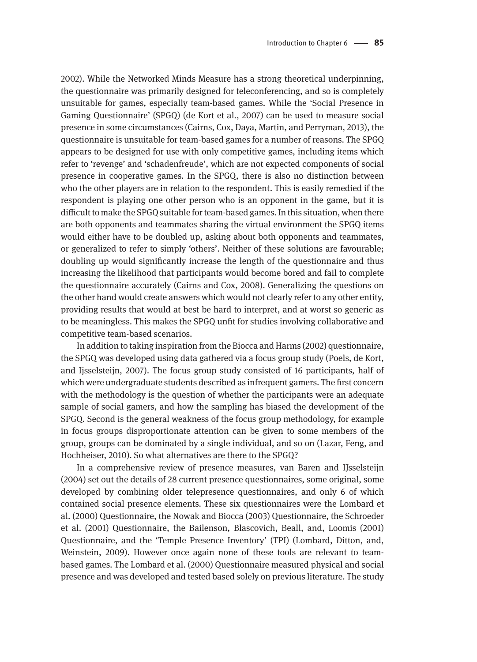2002). While the Networked Minds Measure has a strong theoretical underpinning, the questionnaire was primarily designed for teleconferencing, and so is completely unsuitable for games, especially team-based games. While the 'Social Presence in Gaming Questionnaire' (SPGQ) (de Kort et al., 2007) can be used to measure social presence in some circumstances (Cairns, Cox, Daya, Martin, and Perryman, 2013), the questionnaire is unsuitable for team-based games for a number of reasons. The SPGQ appears to be designed for use with only competitive games, including items which refer to 'revenge' and 'schadenfreude', which are not expected components of social presence in cooperative games. In the SPGQ, there is also no distinction between who the other players are in relation to the respondent. This is easily remedied if the respondent is playing one other person who is an opponent in the game, but it is difficult to make the SPGQ suitable for team-based games. In this situation, when there are both opponents and teammates sharing the virtual environment the SPGQ items would either have to be doubled up, asking about both opponents and teammates, or generalized to refer to simply 'others'. Neither of these solutions are favourable; doubling up would significantly increase the length of the questionnaire and thus increasing the likelihood that participants would become bored and fail to complete the questionnaire accurately (Cairns and Cox, 2008). Generalizing the questions on the other hand would create answers which would not clearly refer to any other entity, providing results that would at best be hard to interpret, and at worst so generic as to be meaningless. This makes the SPGQ unfit for studies involving collaborative and competitive team-based scenarios.

In addition to taking inspiration from the Biocca and Harms (2002) questionnaire, the SPGQ was developed using data gathered via a focus group study (Poels, de Kort, and Ijsselsteijn, 2007). The focus group study consisted of 16 participants, half of which were undergraduate students described as infrequent gamers. The first concern with the methodology is the question of whether the participants were an adequate sample of social gamers, and how the sampling has biased the development of the SPGQ. Second is the general weakness of the focus group methodology, for example in focus groups disproportionate attention can be given to some members of the group, groups can be dominated by a single individual, and so on (Lazar, Feng, and Hochheiser, 2010). So what alternatives are there to the SPGQ?

In a comprehensive review of presence measures, van Baren and IJsselsteijn (2004) set out the details of 28 current presence questionnaires, some original, some developed by combining older telepresence questionnaires, and only 6 of which contained social presence elements. These six questionnaires were the Lombard et al. (2000) Questionnaire, the Nowak and Biocca (2003) Questionnaire, the Schroeder et al. (2001) Questionnaire, the Bailenson, Blascovich, Beall, and, Loomis (2001) Questionnaire, and the 'Temple Presence Inventory' (TPI) (Lombard, Ditton, and, Weinstein, 2009). However once again none of these tools are relevant to teambased games. The Lombard et al. (2000) Questionnaire measured physical and social presence and was developed and tested based solely on previous literature. The study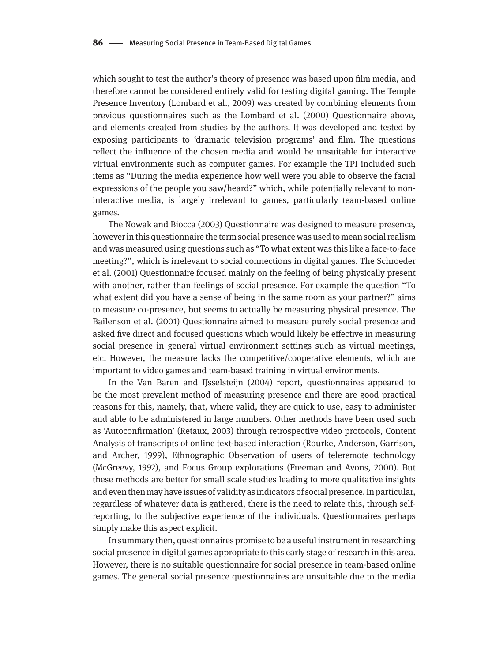which sought to test the author's theory of presence was based upon film media, and therefore cannot be considered entirely valid for testing digital gaming. The Temple Presence Inventory (Lombard et al., 2009) was created by combining elements from previous questionnaires such as the Lombard et al. (2000) Questionnaire above, and elements created from studies by the authors. It was developed and tested by exposing participants to 'dramatic television programs' and film. The questions reflect the influence of the chosen media and would be unsuitable for interactive virtual environments such as computer games. For example the TPI included such items as "During the media experience how well were you able to observe the facial expressions of the people you saw/heard?" which, while potentially relevant to noninteractive media, is largely irrelevant to games, particularly team-based online games.

The Nowak and Biocca (2003) Questionnaire was designed to measure presence, however in this questionnaire the term social presence was used to mean social realism and was measured using questions such as "To what extent was this like a face-to-face meeting?", which is irrelevant to social connections in digital games. The Schroeder et al. (2001) Questionnaire focused mainly on the feeling of being physically present with another, rather than feelings of social presence. For example the question "To what extent did you have a sense of being in the same room as your partner?" aims to measure co-presence, but seems to actually be measuring physical presence. The Bailenson et al. (2001) Questionnaire aimed to measure purely social presence and asked five direct and focused questions which would likely be effective in measuring social presence in general virtual environment settings such as virtual meetings, etc. However, the measure lacks the competitive/cooperative elements, which are important to video games and team-based training in virtual environments.

In the Van Baren and IJsselsteijn (2004) report, questionnaires appeared to be the most prevalent method of measuring presence and there are good practical reasons for this, namely, that, where valid, they are quick to use, easy to administer and able to be administered in large numbers. Other methods have been used such as 'Autoconfirmation' (Retaux, 2003) through retrospective video protocols, Content Analysis of transcripts of online text-based interaction (Rourke, Anderson, Garrison, and Archer, 1999), Ethnographic Observation of users of teleremote technology (McGreevy, 1992), and Focus Group explorations (Freeman and Avons, 2000). But these methods are better for small scale studies leading to more qualitative insights and even then may have issues of validity as indicators of social presence. In particular, regardless of whatever data is gathered, there is the need to relate this, through selfreporting, to the subjective experience of the individuals. Questionnaires perhaps simply make this aspect explicit.

In summary then, questionnaires promise to be a useful instrument in researching social presence in digital games appropriate to this early stage of research in this area. However, there is no suitable questionnaire for social presence in team-based online games. The general social presence questionnaires are unsuitable due to the media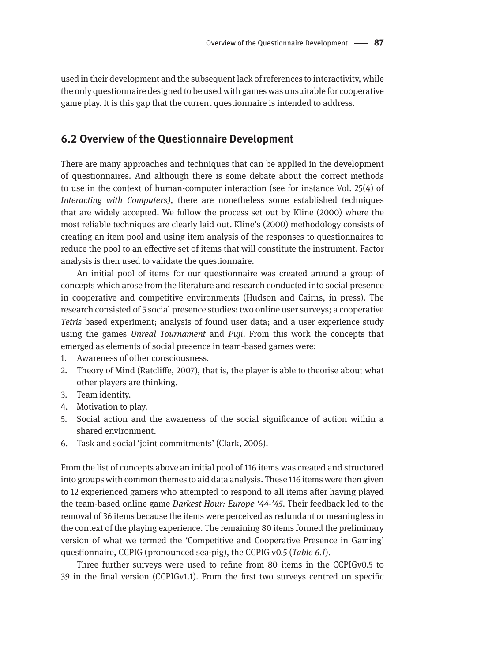used in their development and the subsequent lack of references to interactivity, while the only questionnaire designed to be used with games was unsuitable for cooperative game play. It is this gap that the current questionnaire is intended to address.

### **6.2 Overview of the Questionnaire Development**

There are many approaches and techniques that can be applied in the development of questionnaires. And although there is some debate about the correct methods to use in the context of human-computer interaction (see for instance Vol. 25(4) of *Interacting with Computers)*, there are nonetheless some established techniques that are widely accepted. We follow the process set out by Kline (2000) where the most reliable techniques are clearly laid out. Kline's (2000) methodology consists of creating an item pool and using item analysis of the responses to questionnaires to reduce the pool to an effective set of items that will constitute the instrument. Factor analysis is then used to validate the questionnaire.

An initial pool of items for our questionnaire was created around a group of concepts which arose from the literature and research conducted into social presence in cooperative and competitive environments (Hudson and Cairns, in press). The research consisted of 5 social presence studies: two online user surveys; a cooperative *Tetris* based experiment; analysis of found user data; and a user experience study using the games *Unreal Tournament* and *Puji*. From this work the concepts that emerged as elements of social presence in team-based games were:

- 1. Awareness of other consciousness.
- 2. Theory of Mind (Ratcliffe, 2007), that is, the player is able to theorise about what other players are thinking.
- 3. Team identity.
- 4. Motivation to play.
- 5. Social action and the awareness of the social significance of action within a shared environment.
- 6. Task and social 'joint commitments' (Clark, 2006).

From the list of concepts above an initial pool of 116 items was created and structured into groups with common themes to aid data analysis. These 116 items were then given to 12 experienced gamers who attempted to respond to all items after having played the team-based online game *Darkest Hour: Europe '44-'45*. Their feedback led to the removal of 36 items because the items were perceived as redundant or meaningless in the context of the playing experience. The remaining 80 items formed the preliminary version of what we termed the 'Competitive and Cooperative Presence in Gaming' questionnaire, CCPIG (pronounced sea-pig), the CCPIG v0.5 (*Table 6.1*).

Three further surveys were used to refine from 80 items in the CCPIGv0.5 to 39 in the final version (CCPIGv1.1). From the first two surveys centred on specific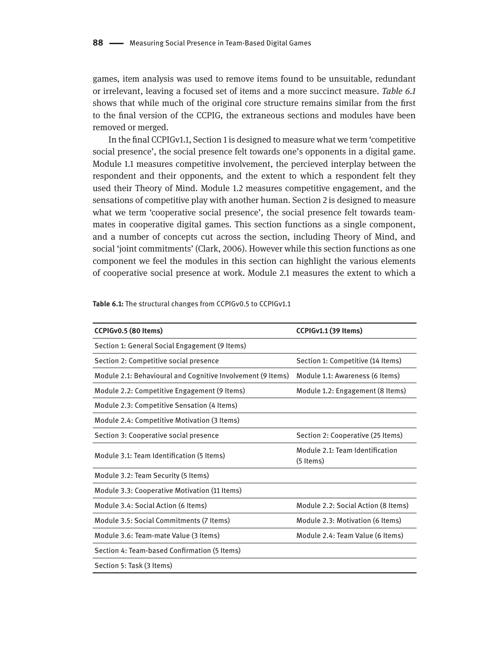games, item analysis was used to remove items found to be unsuitable, redundant or irrelevant, leaving a focused set of items and a more succinct measure. *Table 6.1*  shows that while much of the original core structure remains similar from the first to the final version of the CCPIG, the extraneous sections and modules have been removed or merged.

In the final CCPIGv1.1, Section 1 is designed to measure what we term 'competitive social presence', the social presence felt towards one's opponents in a digital game. Module 1.1 measures competitive involvement, the percieved interplay between the respondent and their opponents, and the extent to which a respondent felt they used their Theory of Mind. Module 1.2 measures competitive engagement, and the sensations of competitive play with another human. Section 2 is designed to measure what we term 'cooperative social presence', the social presence felt towards teammates in cooperative digital games. This section functions as a single component, and a number of concepts cut across the section, including Theory of Mind, and social 'joint commitments' (Clark, 2006). However while this section functions as one component we feel the modules in this section can highlight the various elements of cooperative social presence at work. Module 2.1 measures the extent to which a

| CCPIGv0.5 (80 Items)                                        | CCPIGv1.1 (39 Items)                         |
|-------------------------------------------------------------|----------------------------------------------|
| Section 1: General Social Engagement (9 Items)              |                                              |
| Section 2: Competitive social presence                      | Section 1: Competitive (14 Items)            |
| Module 2.1: Behavioural and Cognitive Involvement (9 Items) | Module 1.1: Awareness (6 Items)              |
| Module 2.2: Competitive Engagement (9 Items)                | Module 1.2: Engagement (8 Items)             |
| Module 2.3: Competitive Sensation (4 Items)                 |                                              |
| Module 2.4: Competitive Motivation (3 Items)                |                                              |
| Section 3: Cooperative social presence                      | Section 2: Cooperative (25 Items)            |
| Module 3.1: Team Identification (5 Items)                   | Module 2.1: Team Identification<br>(5 Items) |
| Module 3.2: Team Security (5 Items)                         |                                              |
| Module 3.3: Cooperative Motivation (11 Items)               |                                              |
| Module 3.4: Social Action (6 Items)                         | Module 2.2: Social Action (8 Items)          |
| Module 3.5: Social Commitments (7 Items)                    | Module 2.3: Motivation (6 Items)             |
| Module 3.6: Team-mate Value (3 Items)                       | Module 2.4: Team Value (6 Items)             |
| Section 4: Team-based Confirmation (5 Items)                |                                              |
| Section 5: Task (3 Items)                                   |                                              |

**Table 6.1:** The structural changes from CCPIGv0.5 to CCPIGv1.1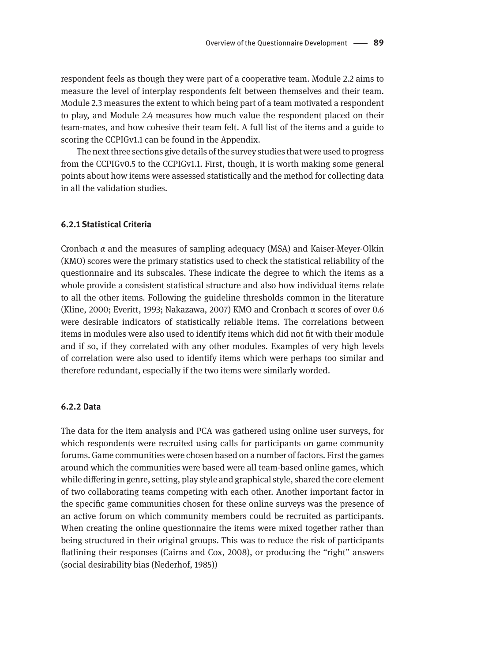respondent feels as though they were part of a cooperative team. Module 2.2 aims to measure the level of interplay respondents felt between themselves and their team. Module 2.3 measures the extent to which being part of a team motivated a respondent to play, and Module 2.4 measures how much value the respondent placed on their team-mates, and how cohesive their team felt. A full list of the items and a guide to scoring the CCPIGv1.1 can be found in the Appendix.

The next three sections give details of the survey studies that were used to progress from the CCPIGv0.5 to the CCPIGv1.1. First, though, it is worth making some general points about how items were assessed statistically and the method for collecting data in all the validation studies.

#### **6.2.1 Statistical Criteria**

Cronbach *α* and the measures of sampling adequacy (MSA) and Kaiser-Meyer-Olkin (KMO) scores were the primary statistics used to check the statistical reliability of the questionnaire and its subscales. These indicate the degree to which the items as a whole provide a consistent statistical structure and also how individual items relate to all the other items. Following the guideline thresholds common in the literature (Kline, 2000; Everitt, 1993; Nakazawa, 2007) KMO and Cronbach α scores of over 0.6 were desirable indicators of statistically reliable items. The correlations between items in modules were also used to identify items which did not fit with their module and if so, if they correlated with any other modules. Examples of very high levels of correlation were also used to identify items which were perhaps too similar and therefore redundant, especially if the two items were similarly worded.

#### **6.2.2 Data**

The data for the item analysis and PCA was gathered using online user surveys, for which respondents were recruited using calls for participants on game community forums. Game communities were chosen based on a number of factors. First the games around which the communities were based were all team-based online games, which while differing in genre, setting, play style and graphical style, shared the core element of two collaborating teams competing with each other. Another important factor in the specific game communities chosen for these online surveys was the presence of an active forum on which community members could be recruited as participants. When creating the online questionnaire the items were mixed together rather than being structured in their original groups. This was to reduce the risk of participants flatlining their responses (Cairns and Cox, 2008), or producing the "right" answers (social desirability bias (Nederhof, 1985))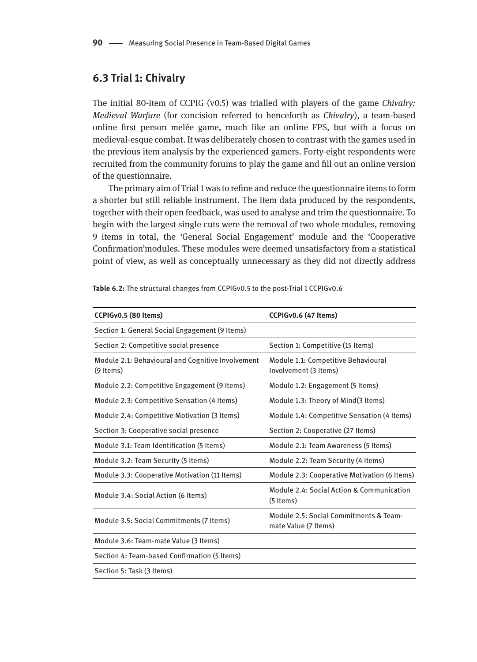### **6.3 Trial 1: Chivalry**

The initial 80-item of CCPIG (v0.5) was trialled with players of the game *Chivalry: Medieval Warfare* (for concision referred to henceforth as *Chivalry*), a team-based online first person melée game, much like an online FPS, but with a focus on medieval-esque combat. It was deliberately chosen to contrast with the games used in the previous item analysis by the experienced gamers. Forty-eight respondents were recruited from the community forums to play the game and fill out an online version of the questionnaire.

The primary aim of Trial 1 was to refine and reduce the questionnaire items to form a shorter but still reliable instrument. The item data produced by the respondents, together with their open feedback, was used to analyse and trim the questionnaire. To begin with the largest single cuts were the removal of two whole modules, removing 9 items in total, the 'General Social Engagement' module and the 'Cooperative Confirmation'modules. These modules were deemed unsatisfactory from a statistical point of view, as well as conceptually unnecessary as they did not directly address

| CCPIGv0.5 (80 Items)                                             | CCPIGv0.6 (47 Items)                                           |
|------------------------------------------------------------------|----------------------------------------------------------------|
| Section 1: General Social Engagement (9 Items)                   |                                                                |
| Section 2: Competitive social presence                           | Section 1: Competitive (15 Items)                              |
| Module 2.1: Behavioural and Cognitive Involvement<br>$(9$ Items) | Module 1.1: Competitive Behavioural<br>Involvement (3 Items)   |
| Module 2.2: Competitive Engagement (9 Items)                     | Module 1.2: Engagement (5 Items)                               |
| Module 2.3: Competitive Sensation (4 Items)                      | Module 1.3: Theory of Mind(3 Items)                            |
| Module 2.4: Competitive Motivation (3 Items)                     | Module 1.4: Competitive Sensation (4 Items)                    |
| Section 3: Cooperative social presence                           | Section 2: Cooperative (27 Items)                              |
| Module 3.1: Team Identification (5 Items)                        | Module 2.1: Team Awareness (5 Items)                           |
| Module 3.2: Team Security (5 Items)                              | Module 2.2: Team Security (4 Items)                            |
| Module 3.3: Cooperative Motivation (11 Items)                    | Module 2.3: Cooperative Motivation (6 Items)                   |
| Module 3.4: Social Action (6 Items)                              | Module 2.4: Social Action & Communication<br>(5 Items)         |
| Module 3.5: Social Commitments (7 Items)                         | Module 2.5: Social Commitments & Team-<br>mate Value (7 Items) |
| Module 3.6: Team-mate Value (3 Items)                            |                                                                |
| Section 4: Team-based Confirmation (5 Items)                     |                                                                |
| Section 5: Task (3 Items)                                        |                                                                |

**Table 6.2:** The structural changes from CCPIGv0.5 to the post-Trial 1 CCPIGv0.6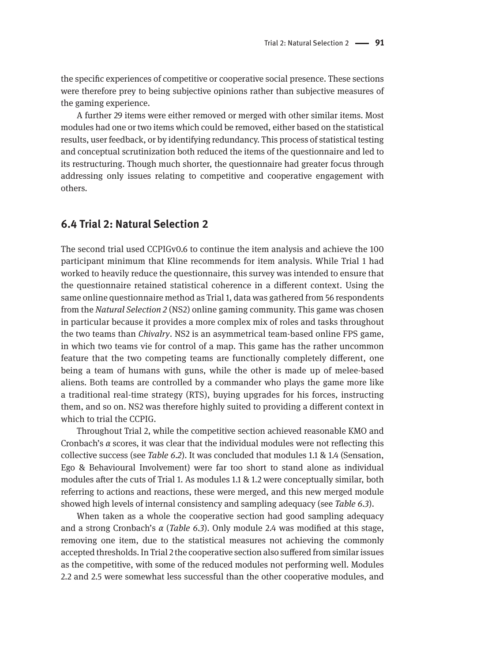the specific experiences of competitive or cooperative social presence. These sections were therefore prey to being subjective opinions rather than subjective measures of the gaming experience.

A further 29 items were either removed or merged with other similar items. Most modules had one or two items which could be removed, either based on the statistical results, user feedback, or by identifying redundancy. This process of statistical testing and conceptual scrutinization both reduced the items of the questionnaire and led to its restructuring. Though much shorter, the questionnaire had greater focus through addressing only issues relating to competitive and cooperative engagement with others.

### **6.4 Trial 2: Natural Selection 2**

The second trial used CCPIGv0.6 to continue the item analysis and achieve the 100 participant minimum that Kline recommends for item analysis. While Trial 1 had worked to heavily reduce the questionnaire, this survey was intended to ensure that the questionnaire retained statistical coherence in a different context. Using the same online questionnaire method as Trial 1, data was gathered from 56 respondents from the *Natural Selection 2* (NS2) online gaming community. This game was chosen in particular because it provides a more complex mix of roles and tasks throughout the two teams than *Chivalry*. NS2 is an asymmetrical team-based online FPS game, in which two teams vie for control of a map. This game has the rather uncommon feature that the two competing teams are functionally completely different, one being a team of humans with guns, while the other is made up of melee-based aliens. Both teams are controlled by a commander who plays the game more like a traditional real-time strategy (RTS), buying upgrades for his forces, instructing them, and so on. NS2 was therefore highly suited to providing a different context in which to trial the CCPIG.

Throughout Trial 2, while the competitive section achieved reasonable KMO and Cronbach's *α* scores, it was clear that the individual modules were not reflecting this collective success (see *Table 6.2*). It was concluded that modules 1.1 & 1.4 (Sensation, Ego & Behavioural Involvement) were far too short to stand alone as individual modules after the cuts of Trial 1. As modules 1.1 & 1.2 were conceptually similar, both referring to actions and reactions, these were merged, and this new merged module showed high levels of internal consistency and sampling adequacy (see *Table 6.3*).

When taken as a whole the cooperative section had good sampling adequacy and a strong Cronbach's *α* (*Table 6.3*). Only module 2.4 was modified at this stage, removing one item, due to the statistical measures not achieving the commonly accepted thresholds. In Trial 2 the cooperative section also suffered from similar issues as the competitive, with some of the reduced modules not performing well. Modules 2.2 and 2.5 were somewhat less successful than the other cooperative modules, and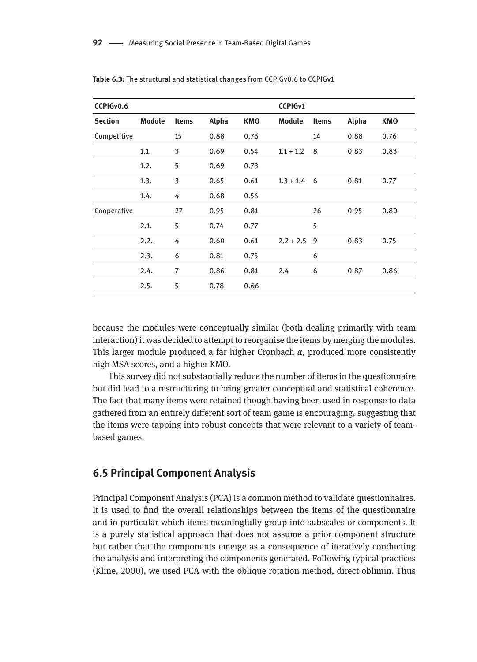| CCPIGv0.6      |        |              |       |            | <b>CCPIGv1</b> |              |       |            |
|----------------|--------|--------------|-------|------------|----------------|--------------|-------|------------|
| <b>Section</b> | Module | <b>Items</b> | Alpha | <b>KMO</b> | Module         | <b>Items</b> | Alpha | <b>KMO</b> |
| Competitive    |        | 15           | 0.88  | 0.76       |                | 14           | 0.88  | 0.76       |
|                | 1.1.   | 3            | 0.69  | 0.54       | $1.1 + 1.2$    | 8            | 0.83  | 0.83       |
|                | 1.2.   | 5            | 0.69  | 0.73       |                |              |       |            |
|                | 1.3.   | 3            | 0.65  | 0.61       | $1.3 + 1.4$    | 6            | 0.81  | 0.77       |
|                | 1.4.   | 4            | 0.68  | 0.56       |                |              |       |            |
| Cooperative    |        | 27           | 0.95  | 0.81       |                | 26           | 0.95  | 0.80       |
|                | 2.1.   | 5            | 0.74  | 0.77       |                | 5            |       |            |
|                | 2.2.   | 4            | 0.60  | 0.61       | $2.2 + 2.5$    | 9            | 0.83  | 0.75       |
|                | 2.3.   | 6            | 0.81  | 0.75       |                | 6            |       |            |
|                | 2.4.   | 7            | 0.86  | 0.81       | 2.4            | 6            | 0.87  | 0.86       |
|                | 2.5.   | 5            | 0.78  | 0.66       |                |              |       |            |

**Table 6.3:** The structural and statistical changes from CCPIGv0.6 to CCPIGv1

because the modules were conceptually similar (both dealing primarily with team interaction) it was decided to attempt to reorganise the items by merging the modules. This larger module produced a far higher Cronbach *α*, produced more consistently high MSA scores, and a higher KMO.

This survey did not substantially reduce the number of items in the questionnaire but did lead to a restructuring to bring greater conceptual and statistical coherence. The fact that many items were retained though having been used in response to data gathered from an entirely different sort of team game is encouraging, suggesting that the items were tapping into robust concepts that were relevant to a variety of teambased games.

### **6.5 Principal Component Analysis**

Principal Component Analysis (PCA) is a common method to validate questionnaires. It is used to find the overall relationships between the items of the questionnaire and in particular which items meaningfully group into subscales or components. It is a purely statistical approach that does not assume a prior component structure but rather that the components emerge as a consequence of iteratively conducting the analysis and interpreting the components generated. Following typical practices (Kline, 2000), we used PCA with the oblique rotation method, direct oblimin. Thus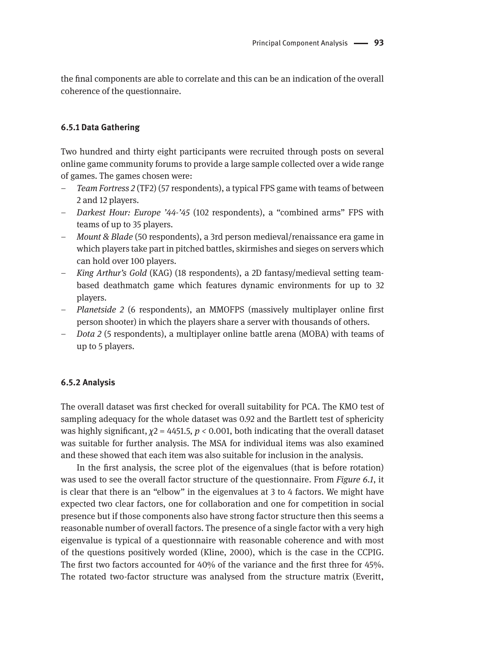the final components are able to correlate and this can be an indication of the overall coherence of the questionnaire.

#### **6.5.1 Data Gathering**

Two hundred and thirty eight participants were recruited through posts on several online game community forums to provide a large sample collected over a wide range of games. The games chosen were:

- *Team Fortress 2* (TF2) (57 respondents), a typical FPS game with teams of between 2 and 12 players.
- *Darkest Hour: Europe '44-'45* (102 respondents), a "combined arms" FPS with teams of up to 35 players.
- *Mount & Blade* (50 respondents), a 3rd person medieval/renaissance era game in which players take part in pitched battles, skirmishes and sieges on servers which can hold over 100 players.
- *King Arthur's Gold* (KAG) (18 respondents), a 2D fantasy/medieval setting teambased deathmatch game which features dynamic environments for up to 32 players.
- *Planetside 2* (6 respondents), an MMOFPS (massively multiplayer online first person shooter) in which the players share a server with thousands of others.
- *Dota 2* (5 respondents), a multiplayer online battle arena (MOBA) with teams of up to 5 players.

#### **6.5.2 Analysis**

The overall dataset was first checked for overall suitability for PCA. The KMO test of sampling adequacy for the whole dataset was 0.92 and the Bartlett test of sphericity was highly significant, *χ*2 = 4451*.*5, *p <* 0*.*001, both indicating that the overall dataset was suitable for further analysis. The MSA for individual items was also examined and these showed that each item was also suitable for inclusion in the analysis.

In the first analysis, the scree plot of the eigenvalues (that is before rotation) was used to see the overall factor structure of the questionnaire. From *Figure 6.1*, it is clear that there is an "elbow" in the eigenvalues at 3 to 4 factors. We might have expected two clear factors, one for collaboration and one for competition in social presence but if those components also have strong factor structure then this seems a reasonable number of overall factors. The presence of a single factor with a very high eigenvalue is typical of a questionnaire with reasonable coherence and with most of the questions positively worded (Kline, 2000), which is the case in the CCPIG. The first two factors accounted for 40% of the variance and the first three for 45%. The rotated two-factor structure was analysed from the structure matrix (Everitt,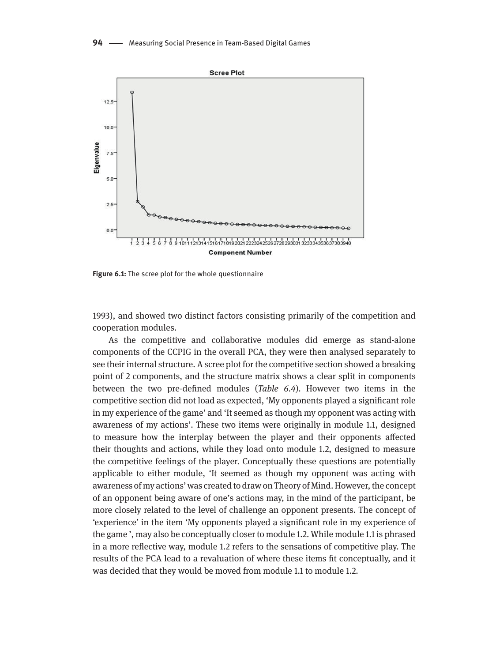**94** Measuring Social Presence in Team-Based Digital Games



**Figure 6.1:** The scree plot for the whole questionnaire

1993), and showed two distinct factors consisting primarily of the competition and cooperation modules.

As the competitive and collaborative modules did emerge as stand-alone components of the CCPIG in the overall PCA, they were then analysed separately to see their internal structure. A scree plot for the competitive section showed a breaking point of 2 components, and the structure matrix shows a clear split in components between the two pre-defined modules (*Table 6.4*). However two items in the competitive section did not load as expected, 'My opponents played a significant role in my experience of the game' and 'It seemed as though my opponent was acting with awareness of my actions'. These two items were originally in module 1.1, designed to measure how the interplay between the player and their opponents affected their thoughts and actions, while they load onto module 1.2, designed to measure the competitive feelings of the player. Conceptually these questions are potentially applicable to either module, 'It seemed as though my opponent was acting with awareness of my actions' was created to draw on Theory of Mind. However, the concept of an opponent being aware of one's actions may, in the mind of the participant, be more closely related to the level of challenge an opponent presents. The concept of 'experience' in the item 'My opponents played a significant role in my experience of the game ', may also be conceptually closer to module 1.2. While module 1.1 is phrased in a more reflective way, module 1.2 refers to the sensations of competitive play. The results of the PCA lead to a revaluation of where these items fit conceptually, and it was decided that they would be moved from module 1.1 to module 1.2.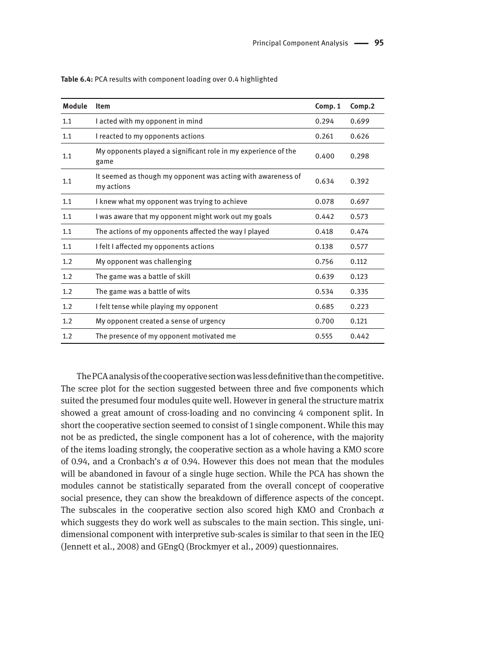| Module | <b>Item</b>                                                                | Comp. 1 | Comp.2 |
|--------|----------------------------------------------------------------------------|---------|--------|
| 1.1    | I acted with my opponent in mind                                           | 0.294   | 0.699  |
| 1.1    | I reacted to my opponents actions                                          | 0.261   | 0.626  |
| 1.1    | My opponents played a significant role in my experience of the<br>game     | 0.400   | 0.298  |
| 1.1    | It seemed as though my opponent was acting with awareness of<br>my actions | 0.634   | 0.392  |
| 1.1    | I knew what my opponent was trying to achieve                              | 0.078   | 0.697  |
| 1.1    | I was aware that my opponent might work out my goals                       | 0.442   | 0.573  |
| 1.1    | The actions of my opponents affected the way I played                      | 0.418   | 0.474  |
| 1.1    | I felt I affected my opponents actions                                     | 0.138   | 0.577  |
| 1.2    | My opponent was challenging                                                | 0.756   | 0.112  |
| 1.2    | The game was a battle of skill                                             | 0.639   | 0.123  |
| 1.2    | The game was a battle of wits                                              | 0.534   | 0.335  |
| 1.2    | I felt tense while playing my opponent                                     | 0.685   | 0.223  |
| 1.2    | My opponent created a sense of urgency                                     | 0.700   | 0.121  |
| 1.2    | The presence of my opponent motivated me                                   | 0.555   | 0.442  |

**Table 6.4:** PCA results with component loading over 0.4 highlighted

The PCA analysis of the cooperative section was less definitive than the competitive. The scree plot for the section suggested between three and five components which suited the presumed four modules quite well. However in general the structure matrix showed a great amount of cross-loading and no convincing 4 component split. In short the cooperative section seemed to consist of 1 single component. While this may not be as predicted, the single component has a lot of coherence, with the majority of the items loading strongly, the cooperative section as a whole having a KMO score of 0.94, and a Cronbach's *α* of 0.94. However this does not mean that the modules will be abandoned in favour of a single huge section. While the PCA has shown the modules cannot be statistically separated from the overall concept of cooperative social presence, they can show the breakdown of difference aspects of the concept. The subscales in the cooperative section also scored high KMO and Cronbach *α* which suggests they do work well as subscales to the main section. This single, unidimensional component with interpretive sub-scales is similar to that seen in the IEQ (Jennett et al., 2008) and GEngQ (Brockmyer et al., 2009) questionnaires.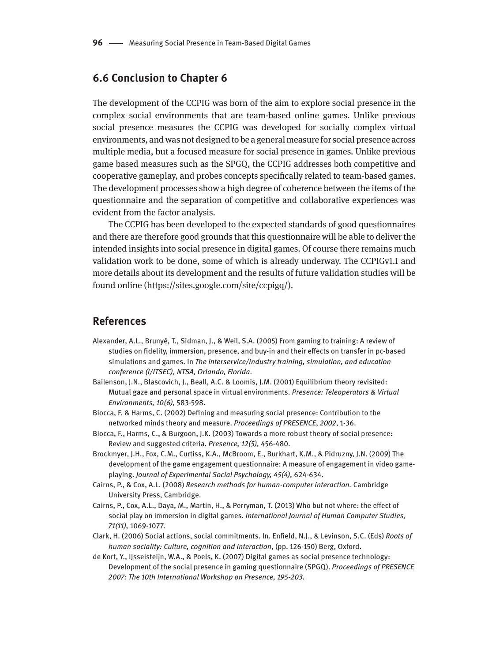### **6.6 Conclusion to Chapter 6**

The development of the CCPIG was born of the aim to explore social presence in the complex social environments that are team-based online games. Unlike previous social presence measures the CCPIG was developed for socially complex virtual environments, and was not designed to be a general measure for social presence across multiple media, but a focused measure for social presence in games. Unlike previous game based measures such as the SPGQ, the CCPIG addresses both competitive and cooperative gameplay, and probes concepts specifically related to team-based games. The development processes show a high degree of coherence between the items of the questionnaire and the separation of competitive and collaborative experiences was evident from the factor analysis.

The CCPIG has been developed to the expected standards of good questionnaires and there are therefore good grounds that this questionnaire will be able to deliver the intended insights into social presence in digital games. Of course there remains much validation work to be done, some of which is already underway. The CCPIGv1.1 and more details about its development and the results of future validation studies will be found online (https://sites.google.com/site/ccpigq/).

#### **References**

- Alexander, A.L., Brunyé, T., Sidman, J., & Weil, S.A. (2005) From gaming to training: A review of studies on fidelity, immersion, presence, and buy-in and their effects on transfer in pc-based simulations and games. In *The interservice/industry training, simulation, and education conference (I/ITSEC), NTSA, Orlando, Florida*.
- Bailenson, J.N., Blascovich, J., Beall, A.C. & Loomis, J.M. (2001) Equilibrium theory revisited: Mutual gaze and personal space in virtual environments. *Presence: Teleoperators & Virtual Environments, 10(6),* 583-598.
- Biocca, F. & Harms, C. (2002) Defining and measuring social presence: Contribution to the networked minds theory and measure. *Proceedings of PRESENCE*, *2002*, 1-36.
- Biocca, F., Harms, C., & Burgoon, J.K. (2003) Towards a more robust theory of social presence: Review and suggested criteria. *Presence, 12(5),* 456-480.
- Brockmyer, J.H., Fox, C.M., Curtiss, K.A., McBroom, E., Burkhart, K.M., & Pidruzny, J.N. (2009) The development of the game engagement questionnaire: A measure of engagement in video gameplaying. *Journal of Experimental Social Psychology, 45(4),* 624-634.
- Cairns, P., & Cox, A.L. (2008) *Research methods for human-computer interaction.* Cambridge University Press, Cambridge.
- Cairns, P., Cox, A.L., Daya, M., Martin, H., & Perryman, T. (2013) Who but not where: the effect of social play on immersion in digital games. *International Journal of Human Computer Studies, 71(11),* 1069-1077.
- Clark, H. (2006) Social actions, social commitments. In. Enfield, N.J., & Levinson, S.C. (Eds) *Roots of human sociality: Culture, cognition and interaction*, (pp. 126-150) Berg, Oxford.
- de Kort, Y., IJsselsteijn, W.A., & Poels, K. (2007) Digital games as social presence technology: Development of the social presence in gaming questionnaire (SPGQ). *Proceedings of PRESENCE 2007: The 10th International Workshop on Presence, 195-203.*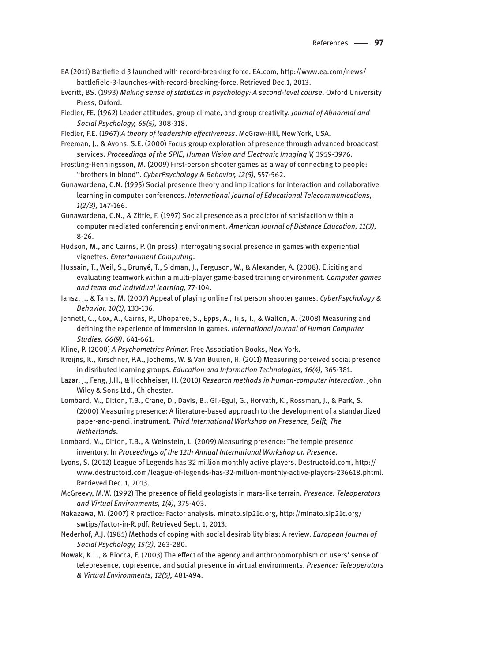- EA (2011) Battlefield 3 launched with record-breaking force. EA.com, http://www.ea.com/news/ battlefield-3-launches-with-record-breaking-force. Retrieved Dec.1, 2013.
- Everitt, BS. (1993) *Making sense of statistics in psychology: A second-level course*. Oxford University Press, Oxford.
- Fiedler, FE. (1962) Leader attitudes, group climate, and group creativity. *Journal of Abnormal and Social Psychology, 65(5),* 308-318.
- Fiedler, F.E. (1967) *A theory of leadership effectiveness*. McGraw-Hill, New York, USA.
- Freeman, J., & Avons, S.E. (2000) Focus group exploration of presence through advanced broadcast services. *Proceedings of the SPIE, Human Vision and Electronic Imaging V,* 3959-3976.
- Frostling-Henningsson, M. (2009) First-person shooter games as a way of connecting to people: "brothers in blood". *CyberPsychology & Behavior, 12(5),* 557-562.
- Gunawardena, C.N. (1995) Social presence theory and implications for interaction and collaborative learning in computer conferences. *International Journal of Educational Telecommunications, 1(2/3),* 147-166.
- Gunawardena, C.N., & Zittle, F. (1997) Social presence as a predictor of satisfaction within a computer mediated conferencing environment. *American Journal of Distance Education, 11(3),*  8-26.
- Hudson, M., and Cairns, P. (In press) Interrogating social presence in games with experiential vignettes. *Entertainment Computing*.
- Hussain, T., Weil, S., Brunyé, T., Sidman, J., Ferguson, W., & Alexander, A. (2008). Eliciting and evaluating teamwork within a multi-player game-based training environment. *Computer games and team and individual learning,* 77-104.
- Jansz, J., & Tanis, M. (2007) Appeal of playing online first person shooter games. *CyberPsychology & Behavior, 10(1),* 133-136.
- Jennett, C., Cox, A., Cairns, P., Dhoparee, S., Epps, A., Tijs, T., & Walton, A. (2008) Measuring and defining the experience of immersion in games. *International Journal of Human Computer Studies, 66(9)*, 641-661.
- Kline, P. (2000) *A Psychometrics Primer.* Free Association Books, New York.
- Kreijns, K., Kirschner, P.A., Jochems, W. & Van Buuren, H. (2011) Measuring perceived social presence in disributed learning groups. *Education and Information Technologies, 16(4),* 365-381.
- Lazar, J., Feng, J.H., & Hochheiser, H. (2010) *Research methods in human-computer interaction*. John Wiley & Sons Ltd., Chichester.
- Lombard, M., Ditton, T.B., Crane, D., Davis, B., Gil-Egui, G., Horvath, K., Rossman, J., & Park, S. (2000) Measuring presence: A literature-based approach to the development of a standardized paper-and-pencil instrument. *Third International Workshop on Presence, Delft, The Netherlands.*
- Lombard, M., Ditton, T.B., & Weinstein, L. (2009) Measuring presence: The temple presence inventory. In *Proceedings of the 12th Annual International Workshop on Presence.*
- Lyons, S. (2012) League of Legends has 32 million monthly active players. Destructoid.com, http:// www.destructoid.com/league-of-legends-has-32-million-monthly-active-players-236618.phtml. Retrieved Dec. 1, 2013.
- McGreevy, M.W. (1992) The presence of field geologists in mars-like terrain. *Presence: Teleoperators and Virtual Environments, 1(4),* 375-403.
- Nakazawa, M. (2007) R practice: Factor analysis. minato.sip21c.org, http://minato.sip21c.org/ swtips/factor-in-R.pdf. Retrieved Sept. 1, 2013.
- Nederhof, A.J. (1985) Methods of coping with social desirability bias: A review. *European Journal of Social Psychology, 15(3),* 263-280.
- Nowak, K.L., & Biocca, F. (2003) The effect of the agency and anthropomorphism on users' sense of telepresence, copresence, and social presence in virtual environments. *Presence: Teleoperators & Virtual Environments, 12(5),* 481-494.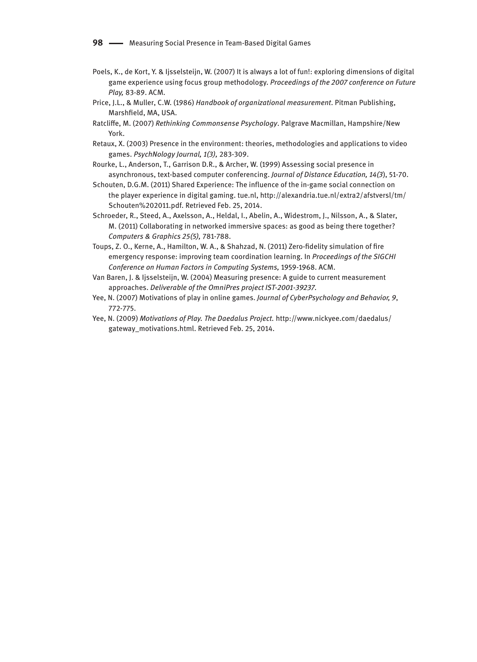- Poels, K., de Kort, Y. & Ijsselsteijn, W. (2007) It is always a lot of fun!: exploring dimensions of digital game experience using focus group methodology. *Proceedings of the 2007 conference on Future Play,* 83-89. ACM.
- Price, J.L., & Muller, C.W. (1986) *Handbook of organizational measurement*. Pitman Publishing, Marshfield, MA, USA.
- Ratcliffe, M. (2007) *Rethinking Commonsense Psychology*. Palgrave Macmillan, Hampshire/New York.
- Retaux, X. (2003) Presence in the environment: theories, methodologies and applications to video games. *PsychNology Journal, 1(3),* 283-309.
- Rourke, L., Anderson, T., Garrison D.R., & Archer, W. (1999) Assessing social presence in asynchronous, text-based computer conferencing. *Journal of Distance Education, 14(3*), 51-70.
- Schouten, D.G.M. (2011) Shared Experience: The influence of the in-game social connection on the player experience in digital gaming. tue.nl, http://alexandria.tue.nl/extra2/afstversl/tm/ Schouten%202011.pdf. Retrieved Feb. 25, 2014.
- Schroeder, R., Steed, A., Axelsson, A., Heldal, I., Abelin, A., Widestrom, J., Nilsson, A., & Slater, M. (2011) Collaborating in networked immersive spaces: as good as being there together? *Computers & Graphics 25(5),* 781-788.
- Toups, Z. O., Kerne, A., Hamilton, W. A., & Shahzad, N. (2011) Zero-fidelity simulation of fire emergency response: improving team coordination learning. In *Proceedings of the SIGCHI Conference on Human Factors in Computing Systems,* 1959-1968. ACM.
- Van Baren, J. & Ijsselsteijn, W. (2004) Measuring presence: A guide to current measurement approaches. *Deliverable of the OmniPres project IST-2001-39237.*
- Yee, N. (2007) Motivations of play in online games. *Journal of CyberPsychology and Behavior, 9*, 772-775.
- Yee, N. (2009) *Motivations of Play. The Daedalus Project.* http://www.nickyee.com/daedalus/ gateway\_motivations.html. Retrieved Feb. 25, 2014.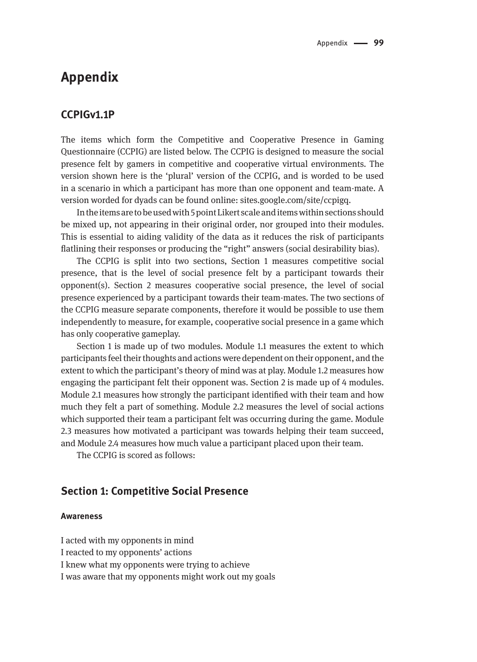## **Appendix**

### **CCPIGv1.1P**

The items which form the Competitive and Cooperative Presence in Gaming Questionnaire (CCPIG) are listed below. The CCPIG is designed to measure the social presence felt by gamers in competitive and cooperative virtual environments. The version shown here is the 'plural' version of the CCPIG, and is worded to be used in a scenario in which a participant has more than one opponent and team-mate. A version worded for dyads can be found online: sites.google.com/site/ccpigq.

In the items are to be used with 5 point Likert scale and items within sections should be mixed up, not appearing in their original order, nor grouped into their modules. This is essential to aiding validity of the data as it reduces the risk of participants flatlining their responses or producing the "right" answers (social desirability bias).

The CCPIG is split into two sections, Section 1 measures competitive social presence, that is the level of social presence felt by a participant towards their opponent(s). Section 2 measures cooperative social presence, the level of social presence experienced by a participant towards their team-mates. The two sections of the CCPIG measure separate components, therefore it would be possible to use them independently to measure, for example, cooperative social presence in a game which has only cooperative gameplay.

Section 1 is made up of two modules. Module 1.1 measures the extent to which participants feel their thoughts and actions were dependent on their opponent, and the extent to which the participant's theory of mind was at play. Module 1.2 measures how engaging the participant felt their opponent was. Section 2 is made up of 4 modules. Module 2.1 measures how strongly the participant identified with their team and how much they felt a part of something. Module 2.2 measures the level of social actions which supported their team a participant felt was occurring during the game. Module 2.3 measures how motivated a participant was towards helping their team succeed, and Module 2.4 measures how much value a participant placed upon their team.

The CCPIG is scored as follows:

### **Section 1: Competitive Social Presence**

#### **Awareness**

I acted with my opponents in mind

I reacted to my opponents' actions

I knew what my opponents were trying to achieve

I was aware that my opponents might work out my goals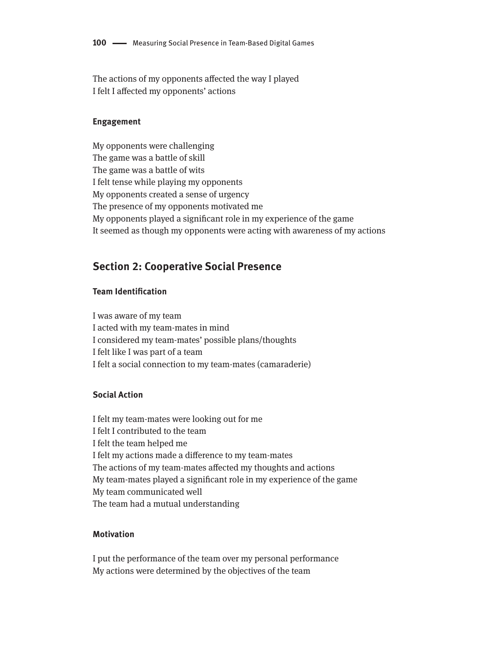The actions of my opponents affected the way I played I felt I affected my opponents' actions

#### **Engagement**

My opponents were challenging The game was a battle of skill The game was a battle of wits I felt tense while playing my opponents My opponents created a sense of urgency The presence of my opponents motivated me My opponents played a significant role in my experience of the game It seemed as though my opponents were acting with awareness of my actions

### **Section 2: Cooperative Social Presence**

#### **Team Identification**

I was aware of my team I acted with my team-mates in mind I considered my team-mates' possible plans/thoughts I felt like I was part of a team I felt a social connection to my team-mates (camaraderie)

#### **Social Action**

I felt my team-mates were looking out for me I felt I contributed to the team I felt the team helped me I felt my actions made a difference to my team-mates The actions of my team-mates affected my thoughts and actions My team-mates played a significant role in my experience of the game My team communicated well The team had a mutual understanding

#### **Motivation**

I put the performance of the team over my personal performance My actions were determined by the objectives of the team